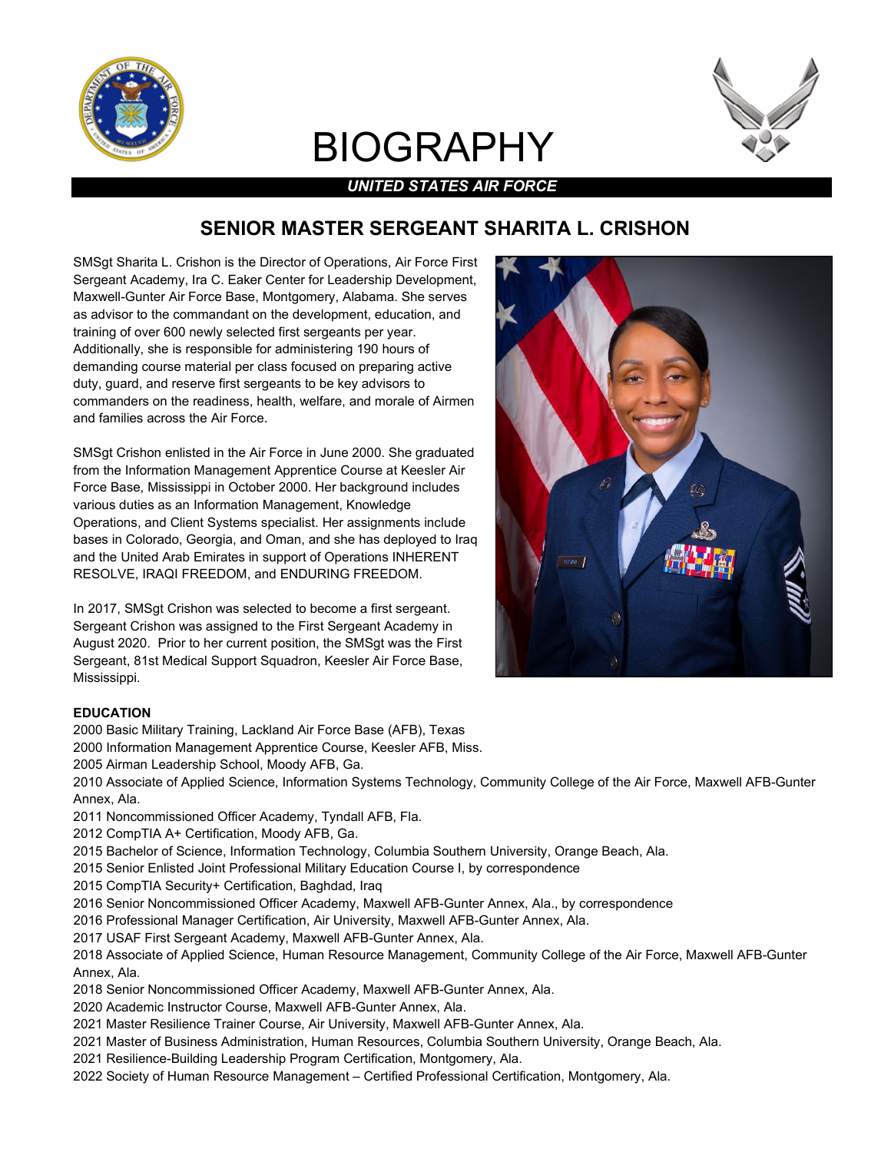

# BIOGRAPHY



## *UNITED STATES AIR FORCE*

# **SENIOR MASTER SERGEANT SHARITA L. CRISHON**

SMSgt Sharita L. Crishon is the Director of Operations, Air Force First Sergeant Academy, Ira C. Eaker Center for Leadership Development, Maxwell-Gunter Air Force Base, Montgomery, Alabama. She serves as advisor to the commandant on the development, education, and training of over 600 newly selected first sergeants per year. Additionally, she is responsible for administering 190 hours of demanding course material per class focused on preparing active duty, guard, and reserve first sergeants to be key advisors to commanders on the readiness, health, welfare, and morale of Airmen and families across the Air Force.

SMSgt Crishon enlisted in the Air Force in June 2000. She graduated from the Information Management Apprentice Course at Keesler Air Force Base, Mississippi in October 2000. Her background includes various duties as an Information Management, Knowledge Operations, and Client Systems specialist. Her assignments include bases in Colorado, Georgia, and Oman, and she has deployed to Iraq and the United Arab Emirates in support of Operations INHERENT RESOLVE, IRAQI FREEDOM, and ENDURING FREEDOM.

In 2017, SMSgt Crishon was selected to become a first sergeant. Sergeant Crishon was assigned to the First Sergeant Academy in August 2020. Prior to her current position, the SMSgt was the First Sergeant, 81st Medical Support Squadron, Keesler Air Force Base, Mississippi.

### **EDUCATION**

- 2000 Basic Military Training, Lackland Air Force Base (AFB), Texas
- 2000 Information Management Apprentice Course, Keesler AFB, Miss.
- 2005 Airman Leadership School, Moody AFB, Ga.

2010 Associate of Applied Science, Information Systems Technology, Community College of the Air Force, Maxwell AFB-Gunter Annex, Ala.

- 2011 Noncommissioned Officer Academy, Tyndall AFB, Fla.
- 2012 CompTIA A+ Certification, Moody AFB, Ga.
- 2015 Bachelor of Science, Information Technology, Columbia Southern University, Orange Beach, Ala.
- 2015 Senior Enlisted Joint Professional Military Education Course I, by correspondence
- 2015 CompTIA Security+ Certification, Baghdad, Iraq
- 2016 Senior Noncommissioned Officer Academy, Maxwell AFB-Gunter Annex, Ala., by correspondence
- 2016 Professional Manager Certification, Air University, Maxwell AFB-Gunter Annex, Ala.
- 2017 USAF First Sergeant Academy, Maxwell AFB-Gunter Annex, Ala.

2018 Associate of Applied Science, Human Resource Management, Community College of the Air Force, Maxwell AFB-Gunter Annex, Ala.

- 2018 Senior Noncommissioned Officer Academy, Maxwell AFB-Gunter Annex, Ala.
- 2020 Academic Instructor Course, Maxwell AFB-Gunter Annex, Ala.
- 2021 Master Resilience Trainer Course, Air University, Maxwell AFB-Gunter Annex, Ala.
- 2021 Master of Business Administration, Human Resources, Columbia Southern University, Orange Beach, Ala.
- 2021 Resilience-Building Leadership Program Certification, Montgomery, Ala.
- 2022 Society of Human Resource Management Certified Professional Certification, Montgomery, Ala.